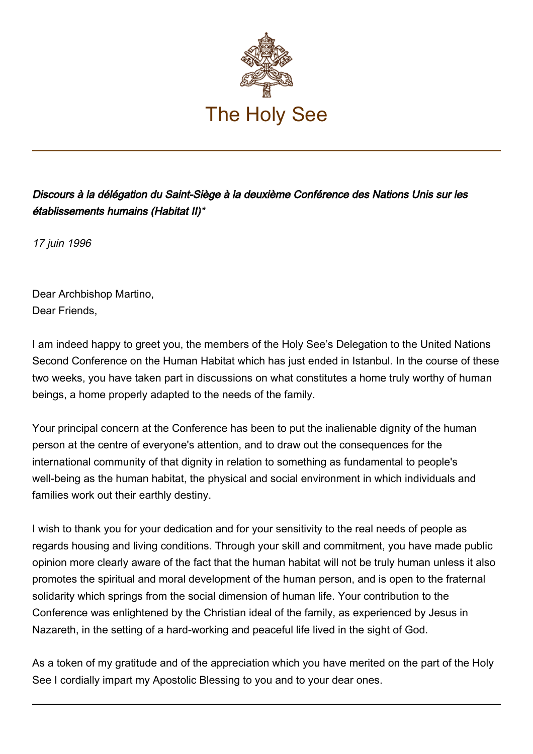

Discours à la délégation du Saint-Siège à la deuxième Conférence des Nations Unis sur les établissements humains (Habitat II)\*

17 juin 1996

Dear Archbishop Martino, Dear Friends,

I am indeed happy to greet you, the members of the Holy See's Delegation to the United Nations Second Conference on the Human Habitat which has just ended in Istanbul. In the course of these two weeks, you have taken part in discussions on what constitutes a home truly worthy of human beings, a home properly adapted to the needs of the family.

Your principal concern at the Conference has been to put the inalienable dignity of the human person at the centre of everyone's attention, and to draw out the consequences for the international community of that dignity in relation to something as fundamental to people's well-being as the human habitat, the physical and social environment in which individuals and families work out their earthly destiny.

I wish to thank you for your dedication and for your sensitivity to the real needs of people as regards housing and living conditions. Through your skill and commitment, you have made public opinion more clearly aware of the fact that the human habitat will not be truly human unless it also promotes the spiritual and moral development of the human person, and is open to the fraternal solidarity which springs from the social dimension of human life. Your contribution to the Conference was enlightened by the Christian ideal of the family, as experienced by Jesus in Nazareth, in the setting of a hard-working and peaceful life lived in the sight of God.

As a token of my gratitude and of the appreciation which you have merited on the part of the Holy See I cordially impart my Apostolic Blessing to you and to your dear ones.